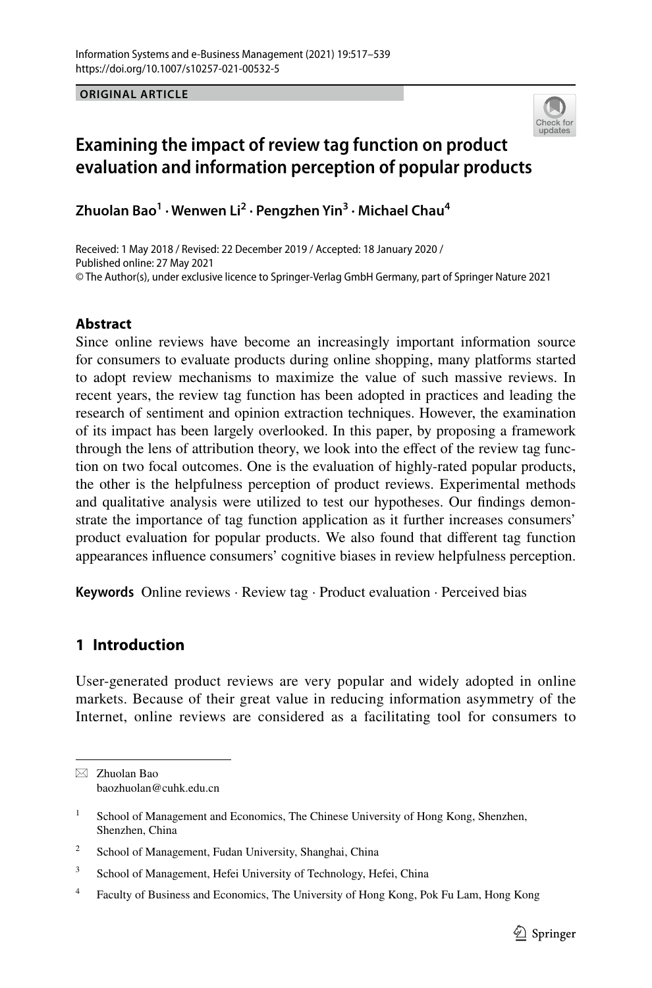**ORIGINAL ARTICLE**



# **Examining the impact of review tag function on product evaluation and information perception of popular products**

**Zhuolan Bao<sup>1</sup> · Wenwen Li2 · Pengzhen Yin3 · Michael Chau4**

Received: 1 May 2018 / Revised: 22 December 2019 / Accepted: 18 January 2020 / Published online: 27 May 2021 © The Author(s), under exclusive licence to Springer-Verlag GmbH Germany, part of Springer Nature 2021

# **Abstract**

Since online reviews have become an increasingly important information source for consumers to evaluate products during online shopping, many platforms started to adopt review mechanisms to maximize the value of such massive reviews. In recent years, the review tag function has been adopted in practices and leading the research of sentiment and opinion extraction techniques. However, the examination of its impact has been largely overlooked. In this paper, by proposing a framework through the lens of attribution theory, we look into the efect of the review tag function on two focal outcomes. One is the evaluation of highly-rated popular products, the other is the helpfulness perception of product reviews. Experimental methods and qualitative analysis were utilized to test our hypotheses. Our fndings demonstrate the importance of tag function application as it further increases consumers' product evaluation for popular products. We also found that diferent tag function appearances infuence consumers' cognitive biases in review helpfulness perception.

**Keywords** Online reviews · Review tag · Product evaluation · Perceived bias

# **1 Introduction**

User-generated product reviews are very popular and widely adopted in online markets. Because of their great value in reducing information asymmetry of the Internet, online reviews are considered as a facilitating tool for consumers to

 $\boxtimes$  Zhuolan Bao baozhuolan@cuhk.edu.cn

<sup>&</sup>lt;sup>1</sup> School of Management and Economics, The Chinese University of Hong Kong, Shenzhen, Shenzhen, China

<sup>&</sup>lt;sup>2</sup> School of Management, Fudan University, Shanghai, China

<sup>&</sup>lt;sup>3</sup> School of Management, Hefei University of Technology, Hefei, China

<sup>4</sup> Faculty of Business and Economics, The University of Hong Kong, Pok Fu Lam, Hong Kong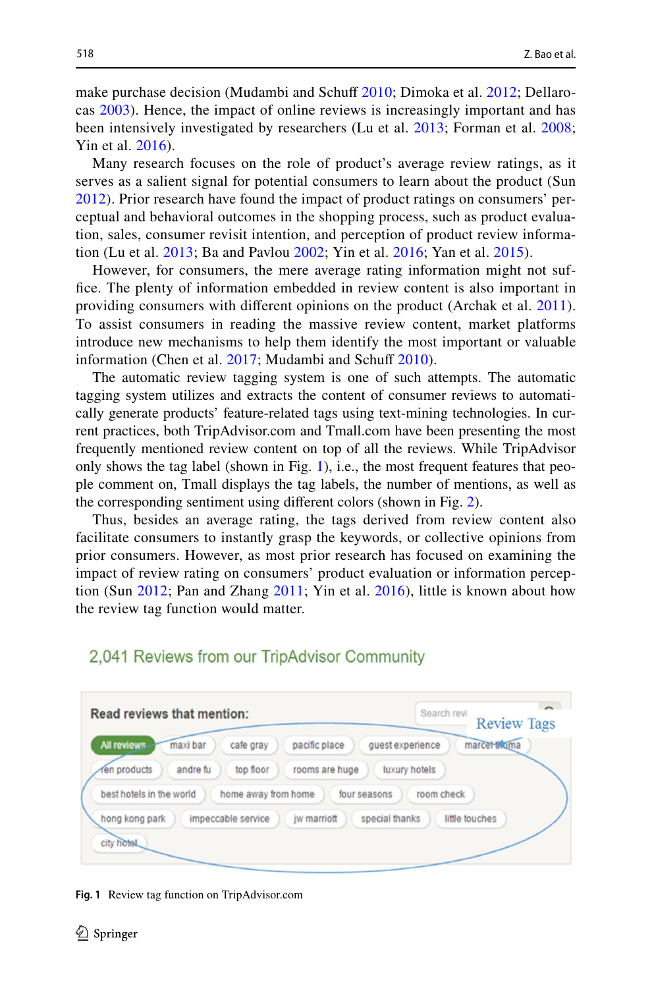make purchase decision (Mudambi and Schuff [2010](#page-21-0); Dimoka et al. [2012;](#page-21-1) Dellarocas [2003\)](#page-20-0). Hence, the impact of online reviews is increasingly important and has been intensively investigated by researchers (Lu et al. [2013;](#page-21-2) Forman et al. [2008;](#page-21-3) Yin et al. [2016](#page-22-0)).

Many research focuses on the role of product's average review ratings, as it serves as a salient signal for potential consumers to learn about the product (Sun [2012\)](#page-22-1). Prior research have found the impact of product ratings on consumers' perceptual and behavioral outcomes in the shopping process, such as product evaluation, sales, consumer revisit intention, and perception of product review information (Lu et al. [2013;](#page-21-2) Ba and Pavlou [2002;](#page-20-1) Yin et al. [2016;](#page-22-0) Yan et al. [2015](#page-22-2)).

However, for consumers, the mere average rating information might not suffce. The plenty of information embedded in review content is also important in providing consumers with diferent opinions on the product (Archak et al. [2011](#page-20-2)). To assist consumers in reading the massive review content, market platforms introduce new mechanisms to help them identify the most important or valuable information (Chen et al. [2017](#page-20-3); Mudambi and Schuff [2010\)](#page-21-0).

The automatic review tagging system is one of such attempts. The automatic tagging system utilizes and extracts the content of consumer reviews to automatically generate products' feature-related tags using text-mining technologies. In current practices, both TripAdvisor.com and Tmall.com have been presenting the most frequently mentioned review content on top of all the reviews. While TripAdvisor only shows the tag label (shown in Fig. [1](#page-1-0)), i.e., the most frequent features that people comment on, Tmall displays the tag labels, the number of mentions, as well as the corresponding sentiment using diferent colors (shown in Fig. [2\)](#page-2-0).

Thus, besides an average rating, the tags derived from review content also facilitate consumers to instantly grasp the keywords, or collective opinions from prior consumers. However, as most prior research has focused on examining the impact of review rating on consumers' product evaluation or information perception (Sun [2012](#page-22-1); Pan and Zhang [2011](#page-21-4); Yin et al. [2016](#page-22-0)), little is known about how the review tag function would matter.



### 2,041 Reviews from our TripAdvisor Community

<span id="page-1-0"></span>**Fig. 1** Review tag function on TripAdvisor.com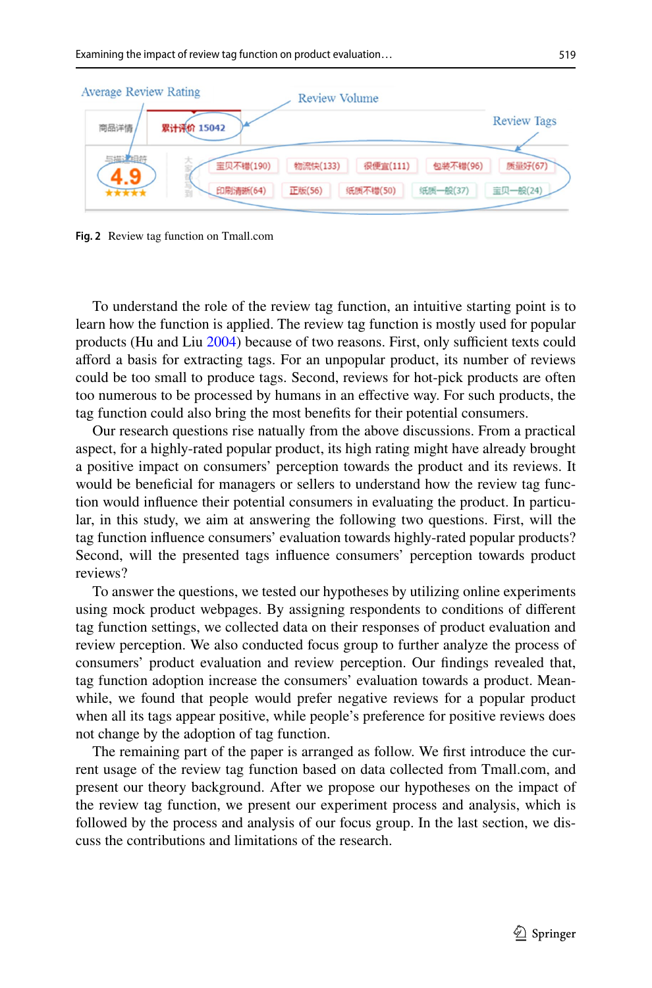| <b>Average Review Rating</b> | <b>Review Volume</b>                                 |                    |
|------------------------------|------------------------------------------------------|--------------------|
| 商品详情                         | 累计评价 15042                                           | <b>Review Tags</b> |
| 与描述相符                        | 大<br>宝贝不错(190)<br>很便宜(111)<br>物流快(133)<br>包装不错(96)   | 质量好(67)            |
|                              | i<br>B<br>印刷清晰(64)<br>正版(56)<br>纸质不错(50)<br>纸质一般(37) | 宝贝一般(24)           |

<span id="page-2-0"></span>**Fig. 2** Review tag function on Tmall.com

To understand the role of the review tag function, an intuitive starting point is to learn how the function is applied. The review tag function is mostly used for popular products (Hu and Liu [2004](#page-21-5)) because of two reasons. First, only sufficient texts could aford a basis for extracting tags. For an unpopular product, its number of reviews could be too small to produce tags. Second, reviews for hot-pick products are often too numerous to be processed by humans in an efective way. For such products, the tag function could also bring the most benefts for their potential consumers.

Our research questions rise natually from the above discussions. From a practical aspect, for a highly-rated popular product, its high rating might have already brought a positive impact on consumers' perception towards the product and its reviews. It would be beneficial for managers or sellers to understand how the review tag function would infuence their potential consumers in evaluating the product. In particular, in this study, we aim at answering the following two questions. First, will the tag function infuence consumers' evaluation towards highly-rated popular products? Second, will the presented tags infuence consumers' perception towards product reviews?

To answer the questions, we tested our hypotheses by utilizing online experiments using mock product webpages. By assigning respondents to conditions of diferent tag function settings, we collected data on their responses of product evaluation and review perception. We also conducted focus group to further analyze the process of consumers' product evaluation and review perception. Our fndings revealed that, tag function adoption increase the consumers' evaluation towards a product. Meanwhile, we found that people would prefer negative reviews for a popular product when all its tags appear positive, while people's preference for positive reviews does not change by the adoption of tag function.

The remaining part of the paper is arranged as follow. We frst introduce the current usage of the review tag function based on data collected from Tmall.com, and present our theory background. After we propose our hypotheses on the impact of the review tag function, we present our experiment process and analysis, which is followed by the process and analysis of our focus group. In the last section, we discuss the contributions and limitations of the research.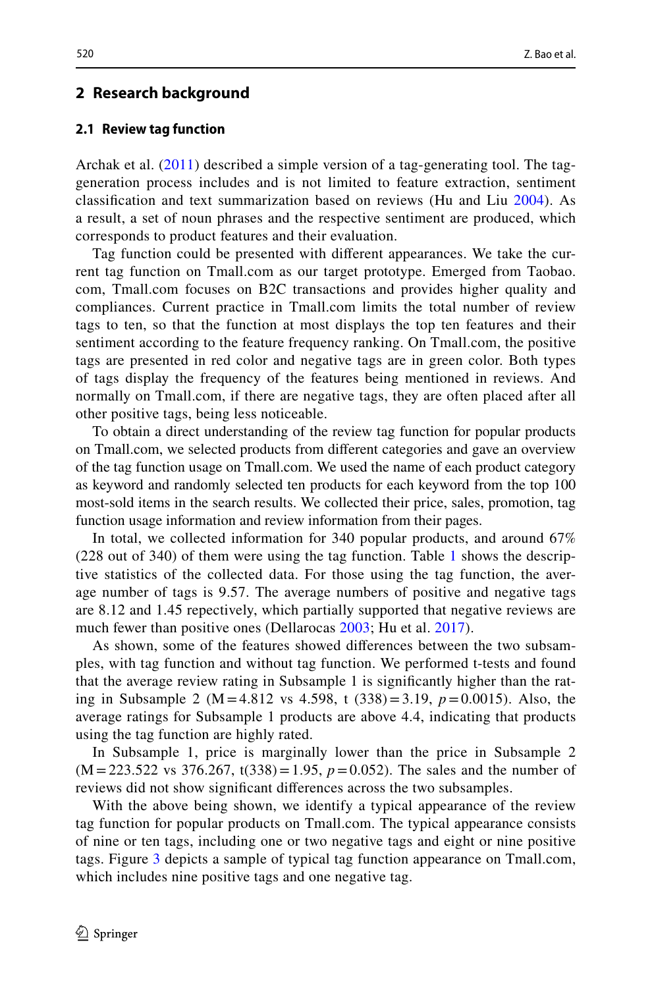### **2 Research background**

### **2.1 Review tag function**

Archak et al. ([2011](#page-20-2)) described a simple version of a tag-generating tool. The taggeneration process includes and is not limited to feature extraction, sentiment classifcation and text summarization based on reviews (Hu and Liu [2004](#page-21-5)). As a result, a set of noun phrases and the respective sentiment are produced, which corresponds to product features and their evaluation.

Tag function could be presented with diferent appearances. We take the current tag function on Tmall.com as our target prototype. Emerged from Taobao. com, Tmall.com focuses on B2C transactions and provides higher quality and compliances. Current practice in Tmall.com limits the total number of review tags to ten, so that the function at most displays the top ten features and their sentiment according to the feature frequency ranking. On Tmall.com, the positive tags are presented in red color and negative tags are in green color. Both types of tags display the frequency of the features being mentioned in reviews. And normally on Tmall.com, if there are negative tags, they are often placed after all other positive tags, being less noticeable.

To obtain a direct understanding of the review tag function for popular products on Tmall.com, we selected products from diferent categories and gave an overview of the tag function usage on Tmall.com. We used the name of each product category as keyword and randomly selected ten products for each keyword from the top 100 most-sold items in the search results. We collected their price, sales, promotion, tag function usage information and review information from their pages.

In total, we collected information for 340 popular products, and around 67% (228 out of 340) of them were using the tag function. Table [1](#page-4-0) shows the descriptive statistics of the collected data. For those using the tag function, the average number of tags is 9.57. The average numbers of positive and negative tags are 8.12 and 1.45 repectively, which partially supported that negative reviews are much fewer than positive ones (Dellarocas [2003;](#page-20-0) Hu et al. [2017\)](#page-21-6).

As shown, some of the features showed diferences between the two subsamples, with tag function and without tag function. We performed t-tests and found that the average review rating in Subsample 1 is signifcantly higher than the rating in Subsample 2 (M =4.812 vs 4.598, t (338)=3.19, *p*=0.0015). Also, the average ratings for Subsample 1 products are above 4.4, indicating that products using the tag function are highly rated.

In Subsample 1, price is marginally lower than the price in Subsample 2 (M =223.522 vs 376.267, t(338)=1.95, *p*=0.052). The sales and the number of reviews did not show signifcant diferences across the two subsamples.

With the above being shown, we identify a typical appearance of the review tag function for popular products on Tmall.com. The typical appearance consists of nine or ten tags, including one or two negative tags and eight or nine positive tags. Figure [3](#page-5-0) depicts a sample of typical tag function appearance on Tmall.com, which includes nine positive tags and one negative tag.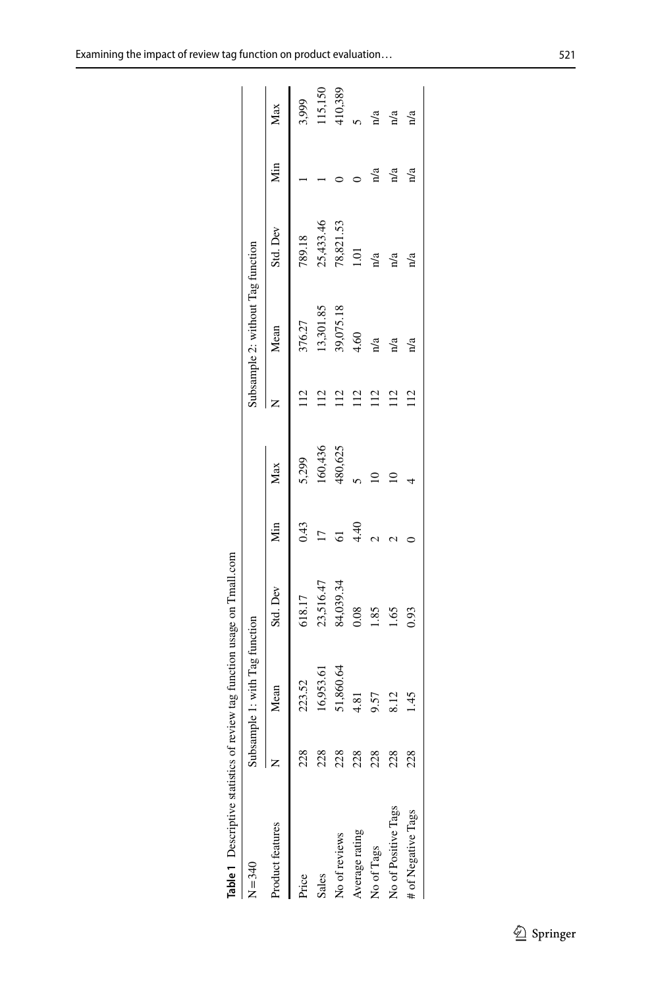| Mean<br>Product features           |           | Subsample 1: with Tag function |         |         |                 | Subsample 2: without Tag function |               |               |               |
|------------------------------------|-----------|--------------------------------|---------|---------|-----------------|-----------------------------------|---------------|---------------|---------------|
|                                    |           | Std. Dev                       | Min<br> | Max     |                 | Mean                              | Std. Dev      | Min           | Max           |
| 228                                | 223.52    | 618.17                         | 0.43    | 5,299   | $\overline{12}$ | 376.27                            | 789.18        |               | 3,999         |
| 228<br>Sales                       | 16,953.61 | 23,516.47                      |         | 160,436 |                 | 13,301.85                         | 25,433.46     |               | 115,150       |
| 228<br>No of reviews               | 51,860.64 | 84,039.34                      |         | 480,625 | 12              | 39,075.18                         | 78,821.53     |               | 410,389       |
| 4.81<br>228<br>Average rating      |           | 0.08                           | 4.40    |         |                 | 4.60                              | 1.01          |               |               |
| 9.57<br>228<br>No of Tags          |           | 1.85                           |         |         | $\overline{12}$ | n/a                               | a/a           | n/a           | n/a           |
| 8.12<br>228<br>No of Positive Tags |           | 0.65                           |         |         | $\overline{12}$ | $\frac{a}{a}$                     | $\frac{a}{a}$ | $\frac{a}{2}$ | $\frac{a}{a}$ |
| 1.45<br>228<br># of Negative Tags  |           | 0.93                           |         |         | 12              | $\mathbf{u}$                      | $\frac{1}{4}$ | n/a           | $\frac{1}{a}$ |

<span id="page-4-0"></span>

| î<br>I                               |
|--------------------------------------|
| ı<br>l                               |
|                                      |
| きく くそくこう ちくさく<br>֠                   |
| l<br>١                               |
| $+74.000 + 0.0000 + 0.0000 + 0.0000$ |
|                                      |
| ł                                    |
| í<br>۱<br>í<br>ļ                     |
| đ                                    |
|                                      |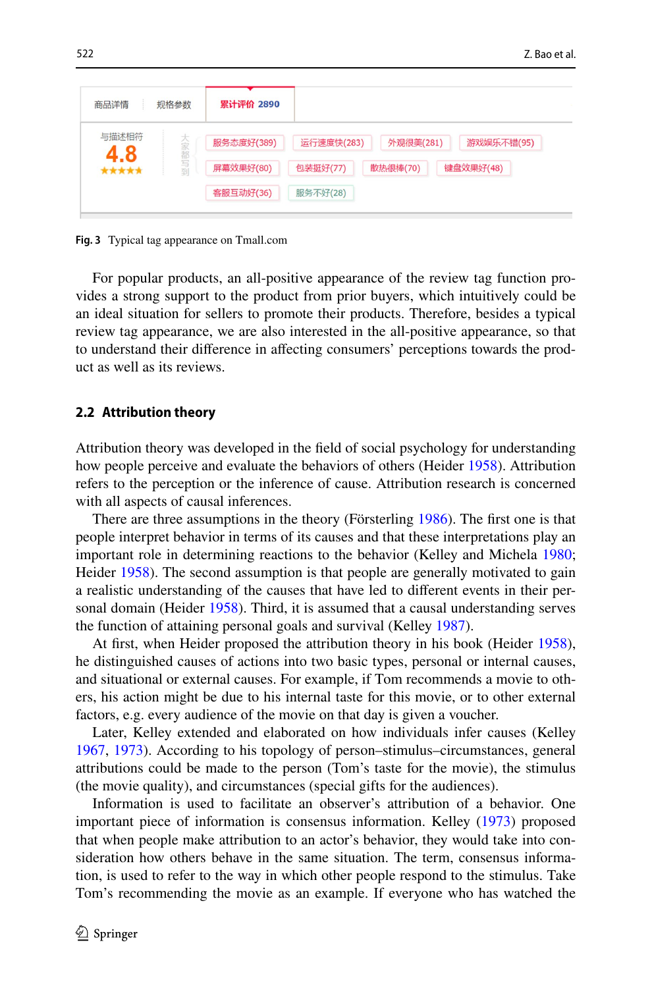| 商品详情         | 规格参数  | 累计评价 2890  |                                       |
|--------------|-------|------------|---------------------------------------|
| 与描述相符<br>4.8 |       | 服务态度好(389) | 运行速度快(283)<br>外观很美(281)<br>游戏娱乐不错(95) |
| *****        | 大家都写到 | 屏幕效果好(80)  | 键盘效果好(48)<br>散热很棒(70)<br>包装挺好(77)     |
|              |       | 客服互动好(36)  | 服务不好(28)                              |

<span id="page-5-0"></span>**Fig. 3** Typical tag appearance on Tmall.com

For popular products, an all-positive appearance of the review tag function provides a strong support to the product from prior buyers, which intuitively could be an ideal situation for sellers to promote their products. Therefore, besides a typical review tag appearance, we are also interested in the all-positive appearance, so that to understand their diference in afecting consumers' perceptions towards the product as well as its reviews.

### **2.2 Attribution theory**

Attribution theory was developed in the feld of social psychology for understanding how people perceive and evaluate the behaviors of others (Heider [1958](#page-21-7)). Attribution refers to the perception or the inference of cause. Attribution research is concerned with all aspects of causal inferences.

There are three assumptions in the theory (Försterling [1986\)](#page-21-8). The frst one is that people interpret behavior in terms of its causes and that these interpretations play an important role in determining reactions to the behavior (Kelley and Michela [1980;](#page-21-9) Heider [1958](#page-21-7)). The second assumption is that people are generally motivated to gain a realistic understanding of the causes that have led to diferent events in their personal domain (Heider [1958\)](#page-21-7). Third, it is assumed that a causal understanding serves the function of attaining personal goals and survival (Kelley [1987\)](#page-21-10).

At frst, when Heider proposed the attribution theory in his book (Heider [1958\)](#page-21-7), he distinguished causes of actions into two basic types, personal or internal causes, and situational or external causes. For example, if Tom recommends a movie to others, his action might be due to his internal taste for this movie, or to other external factors, e.g. every audience of the movie on that day is given a voucher.

Later, Kelley extended and elaborated on how individuals infer causes (Kelley [1967](#page-21-11), [1973\)](#page-21-12). According to his topology of person–stimulus–circumstances, general attributions could be made to the person (Tom's taste for the movie), the stimulus (the movie quality), and circumstances (special gifts for the audiences).

Information is used to facilitate an observer's attribution of a behavior. One important piece of information is consensus information. Kelley ([1973\)](#page-21-12) proposed that when people make attribution to an actor's behavior, they would take into consideration how others behave in the same situation. The term, consensus information, is used to refer to the way in which other people respond to the stimulus. Take Tom's recommending the movie as an example. If everyone who has watched the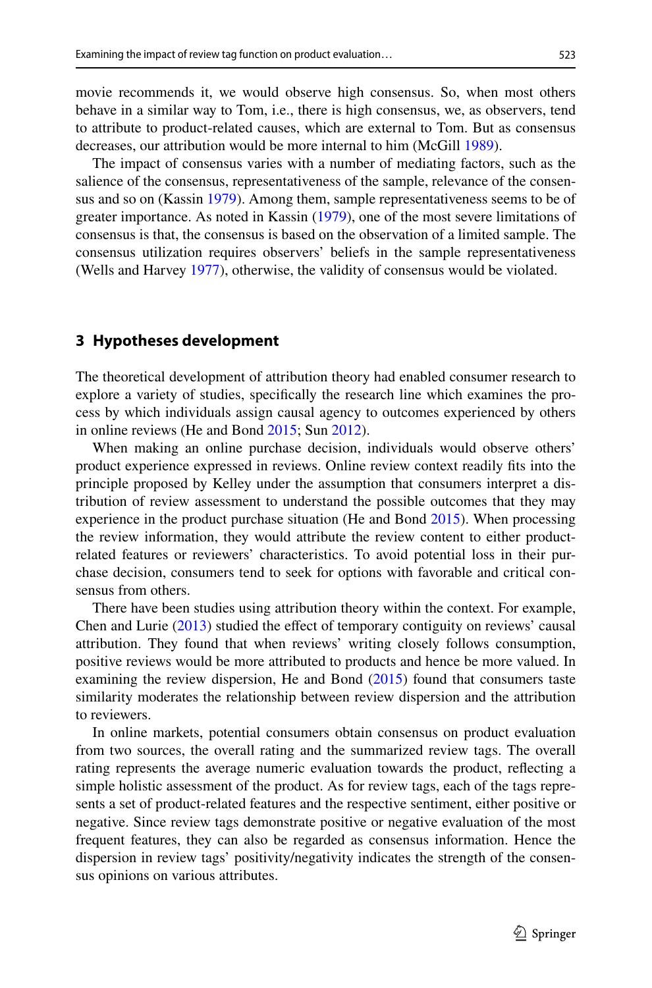movie recommends it, we would observe high consensus. So, when most others behave in a similar way to Tom, i.e., there is high consensus, we, as observers, tend to attribute to product-related causes, which are external to Tom. But as consensus decreases, our attribution would be more internal to him (McGill [1989](#page-21-13)).

The impact of consensus varies with a number of mediating factors, such as the salience of the consensus, representativeness of the sample, relevance of the consensus and so on (Kassin [1979\)](#page-21-14). Among them, sample representativeness seems to be of greater importance. As noted in Kassin ([1979\)](#page-21-14), one of the most severe limitations of consensus is that, the consensus is based on the observation of a limited sample. The consensus utilization requires observers' beliefs in the sample representativeness (Wells and Harvey [1977](#page-22-3)), otherwise, the validity of consensus would be violated.

### **3 Hypotheses development**

The theoretical development of attribution theory had enabled consumer research to explore a variety of studies, specifcally the research line which examines the process by which individuals assign causal agency to outcomes experienced by others in online reviews (He and Bond [2015](#page-21-15); Sun [2012\)](#page-22-1).

When making an online purchase decision, individuals would observe others' product experience expressed in reviews. Online review context readily fts into the principle proposed by Kelley under the assumption that consumers interpret a distribution of review assessment to understand the possible outcomes that they may experience in the product purchase situation (He and Bond [2015](#page-21-15)). When processing the review information, they would attribute the review content to either productrelated features or reviewers' characteristics. To avoid potential loss in their purchase decision, consumers tend to seek for options with favorable and critical consensus from others.

There have been studies using attribution theory within the context. For example, Chen and Lurie ([2013\)](#page-20-4) studied the efect of temporary contiguity on reviews' causal attribution. They found that when reviews' writing closely follows consumption, positive reviews would be more attributed to products and hence be more valued. In examining the review dispersion, He and Bond ([2015\)](#page-21-15) found that consumers taste similarity moderates the relationship between review dispersion and the attribution to reviewers.

In online markets, potential consumers obtain consensus on product evaluation from two sources, the overall rating and the summarized review tags. The overall rating represents the average numeric evaluation towards the product, refecting a simple holistic assessment of the product. As for review tags, each of the tags represents a set of product-related features and the respective sentiment, either positive or negative. Since review tags demonstrate positive or negative evaluation of the most frequent features, they can also be regarded as consensus information. Hence the dispersion in review tags' positivity/negativity indicates the strength of the consensus opinions on various attributes.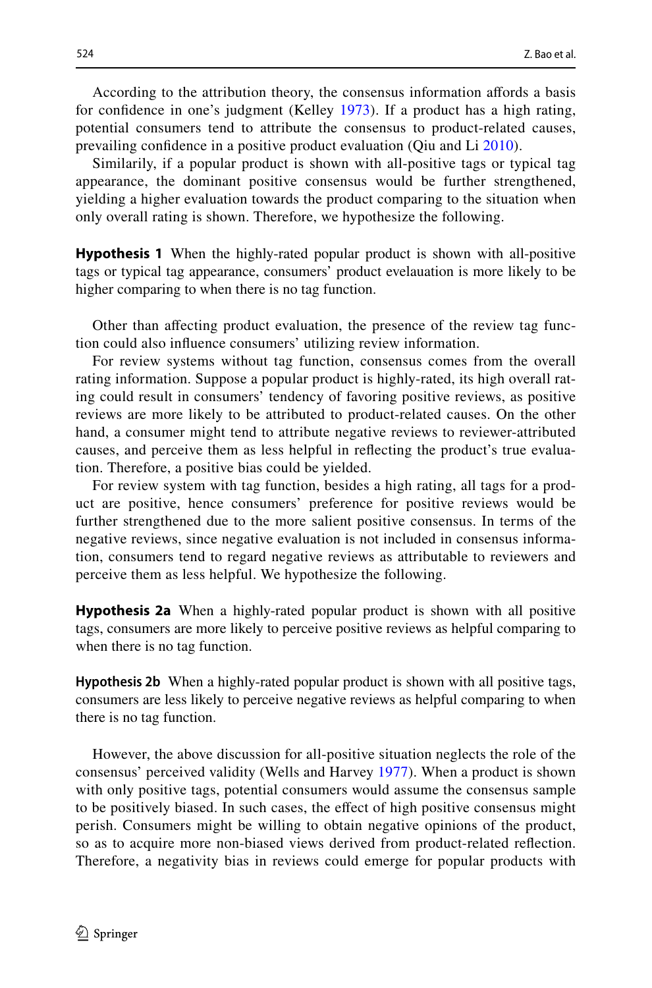According to the attribution theory, the consensus information afords a basis for confdence in one's judgment (Kelley [1973\)](#page-21-12). If a product has a high rating, potential consumers tend to attribute the consensus to product-related causes, prevailing confdence in a positive product evaluation (Qiu and Li [2010](#page-21-16)).

Similarily, if a popular product is shown with all-positive tags or typical tag appearance, the dominant positive consensus would be further strengthened, yielding a higher evaluation towards the product comparing to the situation when only overall rating is shown. Therefore, we hypothesize the following.

<span id="page-7-0"></span>**Hypothesis 1** When the highly-rated popular product is shown with all-positive tags or typical tag appearance, consumers' product evelauation is more likely to be higher comparing to when there is no tag function.

Other than afecting product evaluation, the presence of the review tag function could also infuence consumers' utilizing review information.

For review systems without tag function, consensus comes from the overall rating information. Suppose a popular product is highly-rated, its high overall rating could result in consumers' tendency of favoring positive reviews, as positive reviews are more likely to be attributed to product-related causes. On the other hand, a consumer might tend to attribute negative reviews to reviewer-attributed causes, and perceive them as less helpful in refecting the product's true evaluation. Therefore, a positive bias could be yielded.

For review system with tag function, besides a high rating, all tags for a product are positive, hence consumers' preference for positive reviews would be further strengthened due to the more salient positive consensus. In terms of the negative reviews, since negative evaluation is not included in consensus information, consumers tend to regard negative reviews as attributable to reviewers and perceive them as less helpful. We hypothesize the following.

**Hypothesis 2a** When a highly-rated popular product is shown with all positive tags, consumers are more likely to perceive positive reviews as helpful comparing to when there is no tag function.

**Hypothesis 2b** When a highly-rated popular product is shown with all positive tags, consumers are less likely to perceive negative reviews as helpful comparing to when there is no tag function.

However, the above discussion for all-positive situation neglects the role of the consensus' perceived validity (Wells and Harvey [1977](#page-22-3)). When a product is shown with only positive tags, potential consumers would assume the consensus sample to be positively biased. In such cases, the efect of high positive consensus might perish. Consumers might be willing to obtain negative opinions of the product, so as to acquire more non-biased views derived from product-related refection. Therefore, a negativity bias in reviews could emerge for popular products with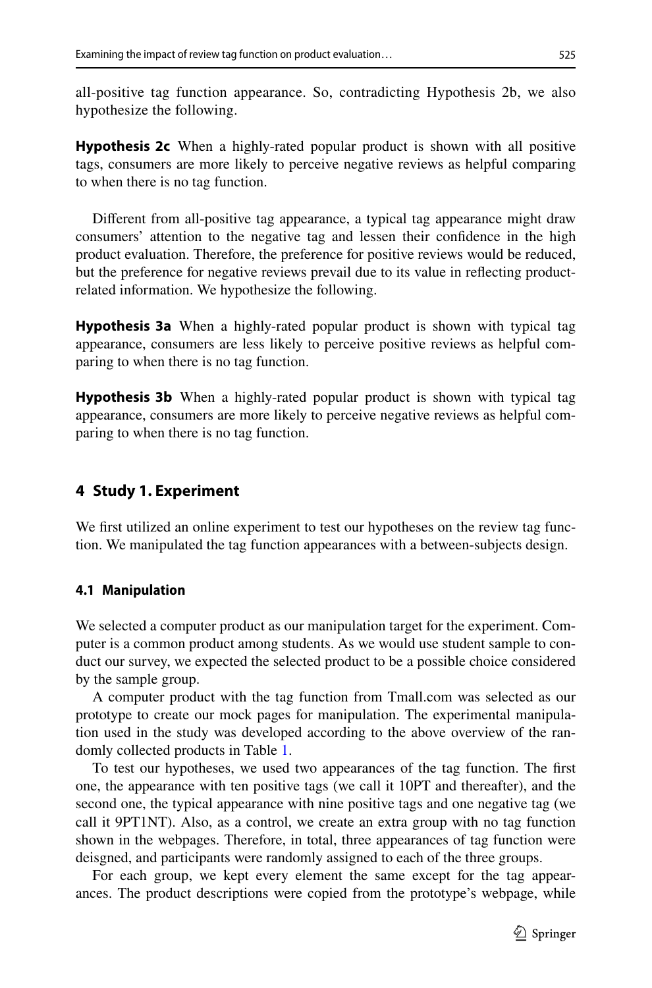all-positive tag function appearance. So, contradicting Hypothesis 2b, we also hypothesize the following.

**Hypothesis 2c** When a highly-rated popular product is shown with all positive tags, consumers are more likely to perceive negative reviews as helpful comparing to when there is no tag function.

Diferent from all-positive tag appearance, a typical tag appearance might draw consumers' attention to the negative tag and lessen their confdence in the high product evaluation. Therefore, the preference for positive reviews would be reduced, but the preference for negative reviews prevail due to its value in refecting productrelated information. We hypothesize the following.

**Hypothesis 3a** When a highly-rated popular product is shown with typical tag appearance, consumers are less likely to perceive positive reviews as helpful comparing to when there is no tag function.

**Hypothesis 3b** When a highly-rated popular product is shown with typical tag appearance, consumers are more likely to perceive negative reviews as helpful comparing to when there is no tag function.

## **4 Study 1. Experiment**

We first utilized an online experiment to test our hypotheses on the review tag function. We manipulated the tag function appearances with a between-subjects design.

### **4.1 Manipulation**

We selected a computer product as our manipulation target for the experiment. Computer is a common product among students. As we would use student sample to conduct our survey, we expected the selected product to be a possible choice considered by the sample group.

A computer product with the tag function from Tmall.com was selected as our prototype to create our mock pages for manipulation. The experimental manipulation used in the study was developed according to the above overview of the randomly collected products in Table [1.](#page-4-0)

To test our hypotheses, we used two appearances of the tag function. The frst one, the appearance with ten positive tags (we call it 10PT and thereafter), and the second one, the typical appearance with nine positive tags and one negative tag (we call it 9PT1NT). Also, as a control, we create an extra group with no tag function shown in the webpages. Therefore, in total, three appearances of tag function were deisgned, and participants were randomly assigned to each of the three groups.

For each group, we kept every element the same except for the tag appearances. The product descriptions were copied from the prototype's webpage, while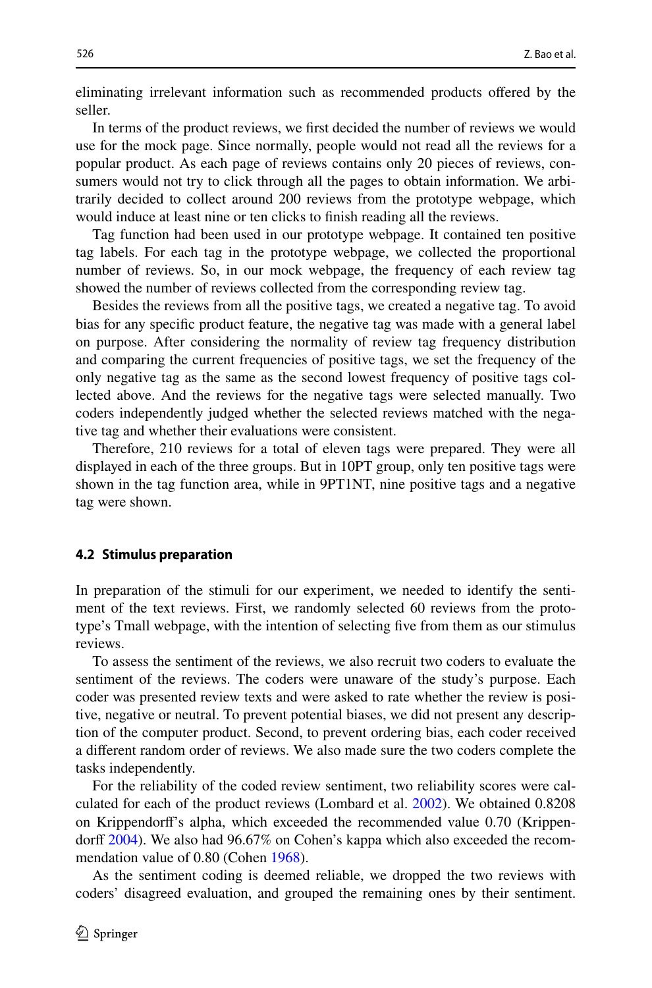eliminating irrelevant information such as recommended products ofered by the seller.

In terms of the product reviews, we frst decided the number of reviews we would use for the mock page. Since normally, people would not read all the reviews for a popular product. As each page of reviews contains only 20 pieces of reviews, consumers would not try to click through all the pages to obtain information. We arbitrarily decided to collect around 200 reviews from the prototype webpage, which would induce at least nine or ten clicks to fnish reading all the reviews.

Tag function had been used in our prototype webpage. It contained ten positive tag labels. For each tag in the prototype webpage, we collected the proportional number of reviews. So, in our mock webpage, the frequency of each review tag showed the number of reviews collected from the corresponding review tag.

Besides the reviews from all the positive tags, we created a negative tag. To avoid bias for any specifc product feature, the negative tag was made with a general label on purpose. After considering the normality of review tag frequency distribution and comparing the current frequencies of positive tags, we set the frequency of the only negative tag as the same as the second lowest frequency of positive tags collected above. And the reviews for the negative tags were selected manually. Two coders independently judged whether the selected reviews matched with the negative tag and whether their evaluations were consistent.

Therefore, 210 reviews for a total of eleven tags were prepared. They were all displayed in each of the three groups. But in 10PT group, only ten positive tags were shown in the tag function area, while in 9PT1NT, nine positive tags and a negative tag were shown.

#### **4.2 Stimulus preparation**

In preparation of the stimuli for our experiment, we needed to identify the sentiment of the text reviews. First, we randomly selected 60 reviews from the prototype's Tmall webpage, with the intention of selecting fve from them as our stimulus reviews.

To assess the sentiment of the reviews, we also recruit two coders to evaluate the sentiment of the reviews. The coders were unaware of the study's purpose. Each coder was presented review texts and were asked to rate whether the review is positive, negative or neutral. To prevent potential biases, we did not present any description of the computer product. Second, to prevent ordering bias, each coder received a diferent random order of reviews. We also made sure the two coders complete the tasks independently.

For the reliability of the coded review sentiment, two reliability scores were calculated for each of the product reviews (Lombard et al. [2002](#page-21-17)). We obtained 0.8208 on Krippendorf's alpha, which exceeded the recommended value 0.70 (Krippendorf  $f(2004)$  $f(2004)$  $f(2004)$ . We also had 96.67% on Cohen's kappa which also exceeded the recommendation value of 0.80 (Cohen [1968](#page-20-5)).

As the sentiment coding is deemed reliable, we dropped the two reviews with coders' disagreed evaluation, and grouped the remaining ones by their sentiment.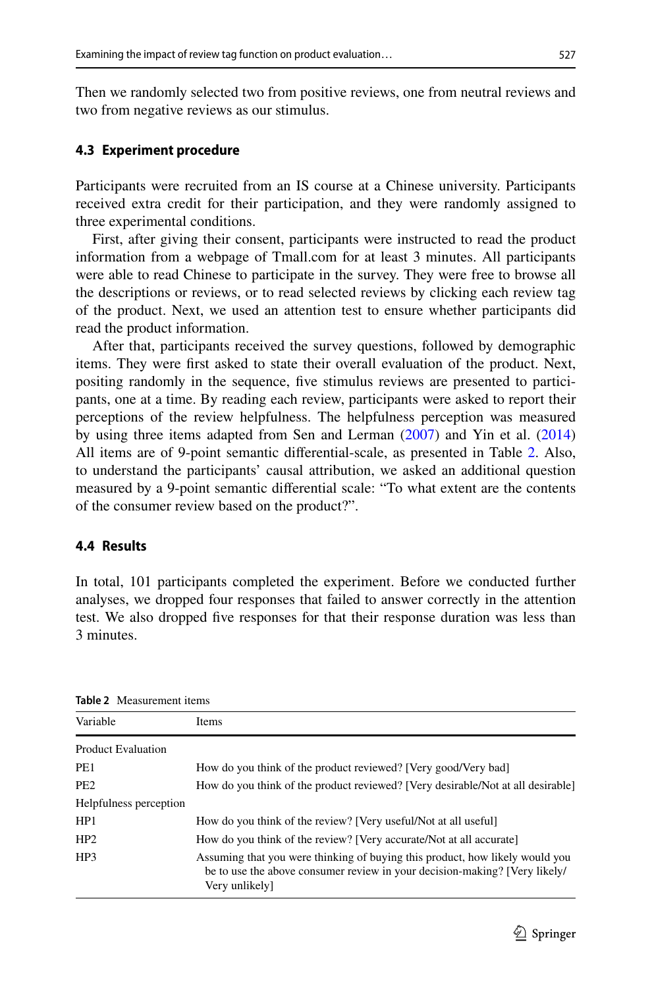Then we randomly selected two from positive reviews, one from neutral reviews and two from negative reviews as our stimulus.

### **4.3 Experiment procedure**

Participants were recruited from an IS course at a Chinese university. Participants received extra credit for their participation, and they were randomly assigned to three experimental conditions.

First, after giving their consent, participants were instructed to read the product information from a webpage of Tmall.com for at least 3 minutes. All participants were able to read Chinese to participate in the survey. They were free to browse all the descriptions or reviews, or to read selected reviews by clicking each review tag of the product. Next, we used an attention test to ensure whether participants did read the product information.

After that, participants received the survey questions, followed by demographic items. They were frst asked to state their overall evaluation of the product. Next, positing randomly in the sequence, fve stimulus reviews are presented to participants, one at a time. By reading each review, participants were asked to report their perceptions of the review helpfulness. The helpfulness perception was measured by using three items adapted from Sen and Lerman [\(2007](#page-21-19)) and Yin et al. [\(2014](#page-22-4)) All items are of 9-point semantic diferential-scale, as presented in Table [2.](#page-10-0) Also, to understand the participants' causal attribution, we asked an additional question measured by a 9-point semantic diferential scale: "To what extent are the contents of the consumer review based on the product?".

### **4.4 Results**

In total, 101 participants completed the experiment. Before we conducted further analyses, we dropped four responses that failed to answer correctly in the attention test. We also dropped fve responses for that their response duration was less than 3 minutes.

| <b>Table 2</b> Measurement flems |                                                                                                                                                                              |  |  |  |  |  |
|----------------------------------|------------------------------------------------------------------------------------------------------------------------------------------------------------------------------|--|--|--|--|--|
| Variable                         | <b>Items</b>                                                                                                                                                                 |  |  |  |  |  |
| <b>Product Evaluation</b>        |                                                                                                                                                                              |  |  |  |  |  |
| PE1                              | How do you think of the product reviewed? [Very good/Very bad]                                                                                                               |  |  |  |  |  |
| PE <sub>2</sub>                  | How do you think of the product reviewed? [Very desirable/Not at all desirable]                                                                                              |  |  |  |  |  |
| Helpfulness perception           |                                                                                                                                                                              |  |  |  |  |  |
| HP1                              | How do you think of the review? [Very useful/Not at all useful]                                                                                                              |  |  |  |  |  |
| HP2                              | How do you think of the review? [Very accurate/Not at all accurate]                                                                                                          |  |  |  |  |  |
| HP <sub>3</sub>                  | Assuming that you were thinking of buying this product, how likely would you<br>be to use the above consumer review in your decision-making? [Very likely/<br>Very unlikely] |  |  |  |  |  |

<span id="page-10-0"></span>**Table 2** Measurement items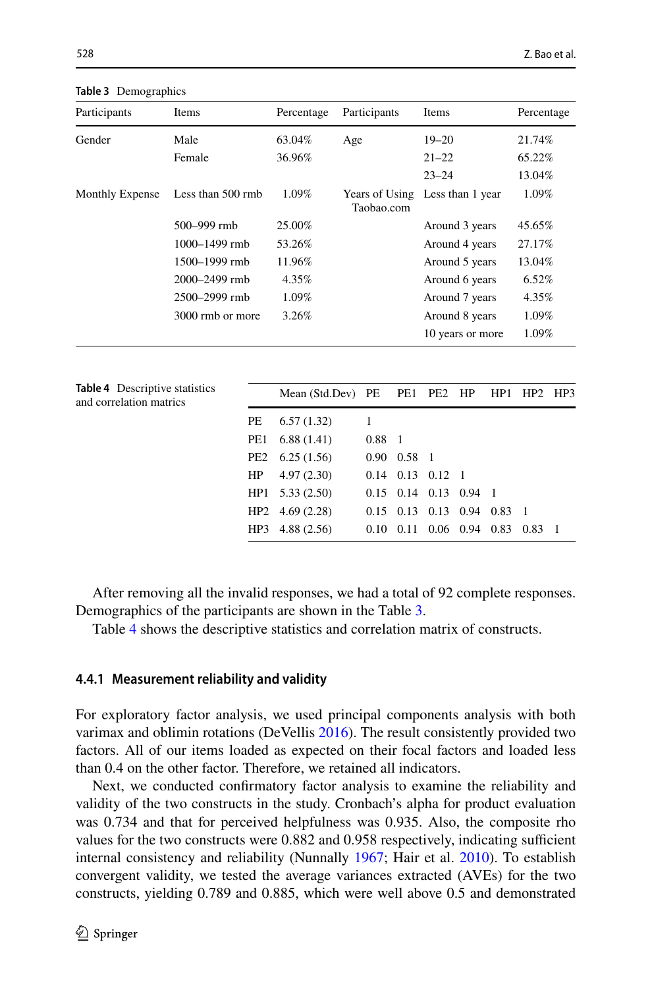| Participants    | Items             | Percentage | Participants                 | Items            | Percentage |
|-----------------|-------------------|------------|------------------------------|------------------|------------|
| Gender          | Male              | 63.04%     | Age                          | $19 - 20$        | 21.74%     |
|                 | Female            | 36.96%     |                              | $21 - 22$        | 65.22%     |
|                 |                   |            |                              | $23 - 24$        | 13.04%     |
| Monthly Expense | Less than 500 rmb | 1.09%      | Years of Using<br>Taobao.com | Less than 1 year | 1.09%      |
|                 | 500-999 rmb       | 25.00%     |                              | Around 3 years   | 45.65%     |
|                 | 1000-1499 rmb     | 53.26%     |                              | Around 4 years   | 27.17%     |
|                 | 1500-1999 rmb     | 11.96%     |                              | Around 5 years   | 13.04%     |
|                 | 2000-2499 rmb     | 4.35%      |                              | Around 6 years   | 6.52%      |
|                 | 2500-2999 rmb     | 1.09%      |                              | Around 7 years   | 4.35%      |
|                 | 3000 rmb or more  | 3.26%      |                              | Around 8 years   | 1.09%      |
|                 |                   |            |                              | 10 years or more | 1.09%      |

<span id="page-11-0"></span>**Table 3** Demographics

<span id="page-11-1"></span>

| <b>Table 4</b> Descriptive statistics<br>and correlation matrics |    | Mean (Std.Dev) PE PE1 PE2 HP HP1 HP2 HP3 |          |                           |                               |  |  |
|------------------------------------------------------------------|----|------------------------------------------|----------|---------------------------|-------------------------------|--|--|
|                                                                  | PE | 6.57(1.32)                               |          |                           |                               |  |  |
|                                                                  |    | PE1 6.88 (1.41)                          | $0.88$ 1 |                           |                               |  |  |
|                                                                  |    | PE2 6.25 (1.56)                          |          | $0.90 \quad 0.58 \quad 1$ |                               |  |  |
|                                                                  | HP | 4.97(2.30)                               |          |                           | $0.14$ $0.13$ $0.12$ 1        |  |  |
|                                                                  |    | $HP1 \quad 5.33 \ (2.50)$                |          |                           | $0.15$ $0.14$ $0.13$ $0.94$ 1 |  |  |
|                                                                  |    | $HP2 \quad 4.69 \ (2.28)$                |          |                           | 0.15 0.13 0.13 0.94 0.83 1    |  |  |
|                                                                  |    | HP3 4.88 (2.56)                          | 0.10     |                           | 0.11 0.06 0.94 0.83 0.83 1    |  |  |
|                                                                  |    |                                          |          |                           |                               |  |  |

After removing all the invalid responses, we had a total of 92 complete responses. Demographics of the participants are shown in the Table [3.](#page-11-0)

Table [4](#page-11-1) shows the descriptive statistics and correlation matrix of constructs.

#### **4.4.1 Measurement reliability and validity**

For exploratory factor analysis, we used principal components analysis with both varimax and oblimin rotations (DeVellis [2016\)](#page-21-20). The result consistently provided two factors. All of our items loaded as expected on their focal factors and loaded less than 0.4 on the other factor. Therefore, we retained all indicators.

Next, we conducted confrmatory factor analysis to examine the reliability and validity of the two constructs in the study. Cronbach's alpha for product evaluation was 0.734 and that for perceived helpfulness was 0.935. Also, the composite rho values for the two constructs were 0.882 and 0.958 respectively, indicating sufficient internal consistency and reliability (Nunnally [1967;](#page-21-21) Hair et al. [2010\)](#page-21-22). To establish convergent validity, we tested the average variances extracted (AVEs) for the two constructs, yielding 0.789 and 0.885, which were well above 0.5 and demonstrated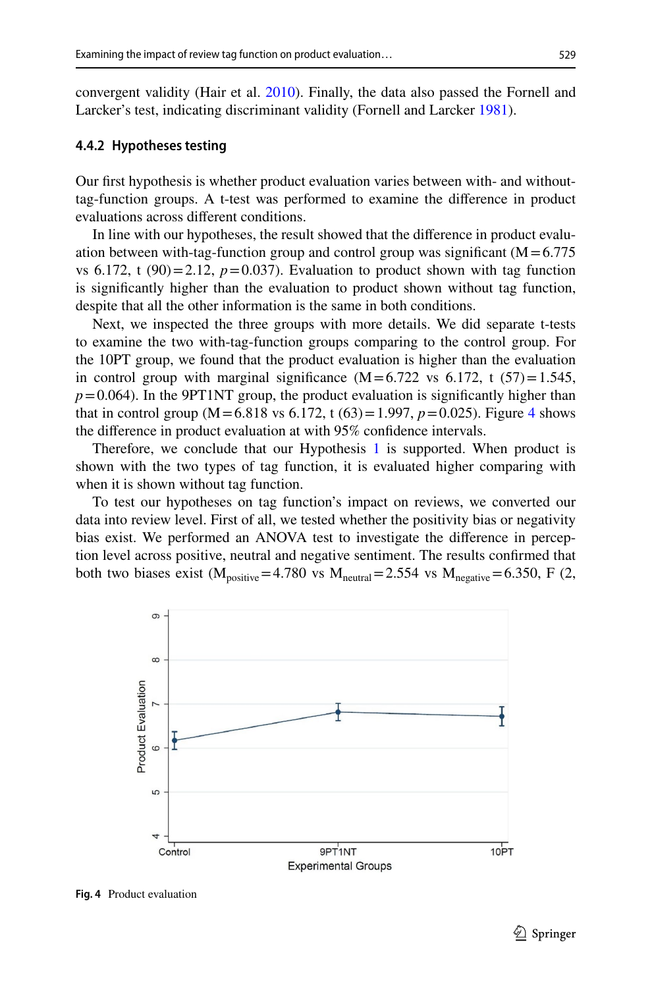convergent validity (Hair et al. [2010](#page-21-22)). Finally, the data also passed the Fornell and Larcker's test, indicating discriminant validity (Fornell and Larcker [1981\)](#page-21-23).

### **4.4.2 Hypotheses testing**

Our frst hypothesis is whether product evaluation varies between with- and withouttag-function groups. A t-test was performed to examine the diference in product evaluations across diferent conditions.

In line with our hypotheses, the result showed that the diference in product evaluation between with-tag-function group and control group was significant  $(M=6.775)$ vs  $6.172$ , t  $(90)=2.12$ ,  $p=0.037$ ). Evaluation to product shown with tag function is signifcantly higher than the evaluation to product shown without tag function, despite that all the other information is the same in both conditions.

Next, we inspected the three groups with more details. We did separate t-tests to examine the two with-tag-function groups comparing to the control group. For the 10PT group, we found that the product evaluation is higher than the evaluation in control group with marginal significance  $(M=6.722 \text{ vs } 6.172, t \text{ (57)} = 1.545,$  $p=0.064$ ). In the 9PT1NT group, the product evaluation is significantly higher than that in control group (M = 6.818 vs 6.172, t (63) = 1.997,  $p = 0.025$ ). Figure [4](#page-12-0) shows the diference in product evaluation at with 95% confdence intervals.

Therefore, we conclude that our Hypothesis [1](#page-7-0) is supported. When product is shown with the two types of tag function, it is evaluated higher comparing with when it is shown without tag function.

To test our hypotheses on tag function's impact on reviews, we converted our data into review level. First of all, we tested whether the positivity bias or negativity bias exist. We performed an ANOVA test to investigate the diference in perception level across positive, neutral and negative sentiment. The results confrmed that both two biases exist ( $M_{\text{positive}}$ =4.780 vs  $M_{\text{neutral}}$ =2.554 vs  $M_{\text{negative}}$ =6.350, F (2,



<span id="page-12-0"></span>**Fig. 4** Product evaluation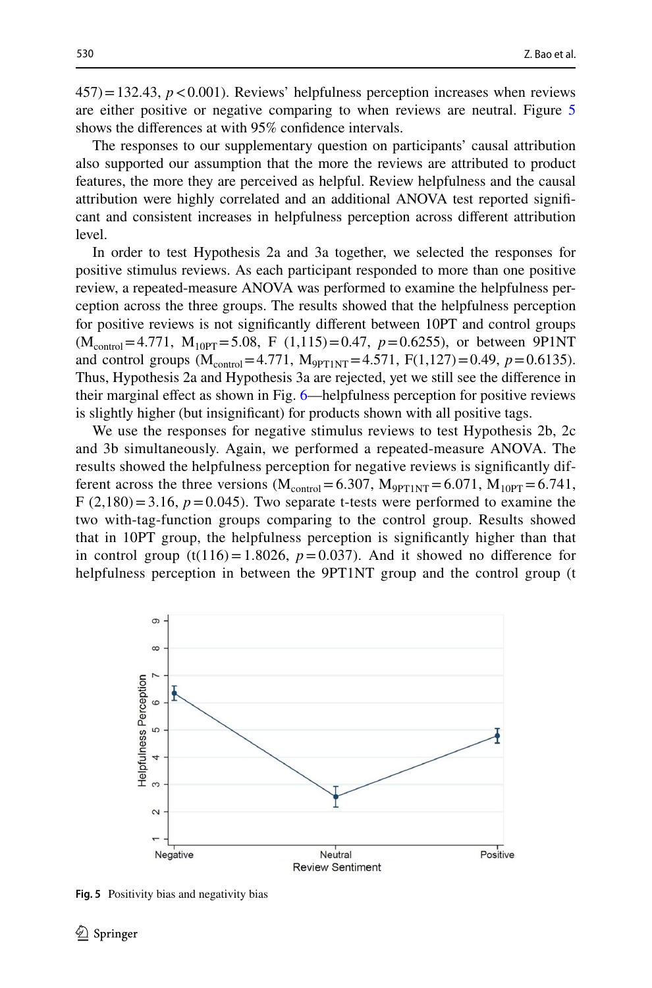$(457) = 132.43$ ,  $p < 0.001$ ). Reviews' helpfulness perception increases when reviews are either positive or negative comparing to when reviews are neutral. Figure [5](#page-13-0) shows the diferences at with 95% confdence intervals.

The responses to our supplementary question on participants' causal attribution also supported our assumption that the more the reviews are attributed to product features, the more they are perceived as helpful. Review helpfulness and the causal attribution were highly correlated and an additional ANOVA test reported signifcant and consistent increases in helpfulness perception across diferent attribution level.

In order to test Hypothesis 2a and 3a together, we selected the responses for positive stimulus reviews. As each participant responded to more than one positive review, a repeated-measure ANOVA was performed to examine the helpfulness perception across the three groups. The results showed that the helpfulness perception for positive reviews is not signifcantly diferent between 10PT and control groups  $(M_{\text{control}}=4.771, M_{10PT}=5.08, F(1,115)=0.47, p=0.6255)$ , or between 9P1NT and control groups  $(M_{control}=4.771, M_{9PT1NT}=4.571, F(1,127)=0.49, p=0.6135)$ . Thus, Hypothesis 2a and Hypothesis 3a are rejected, yet we still see the diference in their marginal efect as shown in Fig. [6](#page-14-0)—helpfulness perception for positive reviews is slightly higher (but insignifcant) for products shown with all positive tags.

We use the responses for negative stimulus reviews to test Hypothesis 2b, 2c and 3b simultaneously. Again, we performed a repeated-measure ANOVA. The results showed the helpfulness perception for negative reviews is signifcantly different across the three versions ( $M_{\text{control}}=6.307$ ,  $M_{\text{9PTINT}}=6.071$ ,  $M_{10PT}=6.741$ ,  $F(2,180) = 3.16$ ,  $p = 0.045$ ). Two separate t-tests were performed to examine the two with-tag-function groups comparing to the control group. Results showed that in 10PT group, the helpfulness perception is signifcantly higher than that in control group  $(t(116)=1.8026, p=0.037)$ . And it showed no difference for helpfulness perception in between the 9PT1NT group and the control group (t



<span id="page-13-0"></span>**Fig. 5** Positivity bias and negativity bias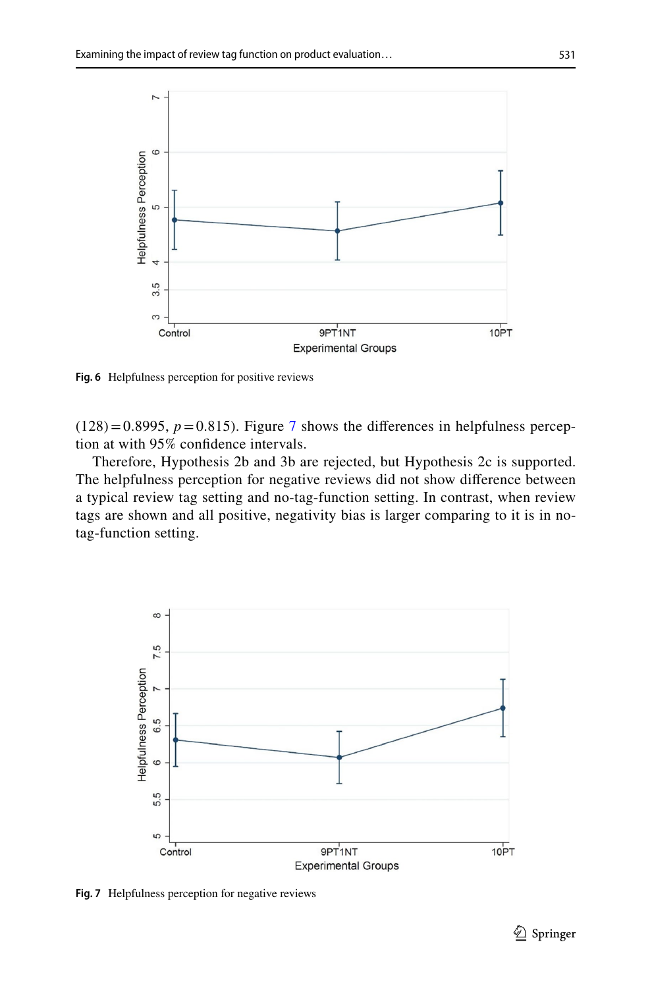

<span id="page-14-0"></span>**Fig. 6** Helpfulness perception for positive reviews

 $(128) = 0.8995$ ,  $p = 0.815$ ). Figure [7](#page-14-1) shows the differences in helpfulness perception at with 95% confdence intervals.

Therefore, Hypothesis 2b and 3b are rejected, but Hypothesis 2c is supported. The helpfulness perception for negative reviews did not show diference between a typical review tag setting and no-tag-function setting. In contrast, when review tags are shown and all positive, negativity bias is larger comparing to it is in notag-function setting.



<span id="page-14-1"></span>**Fig. 7** Helpfulness perception for negative reviews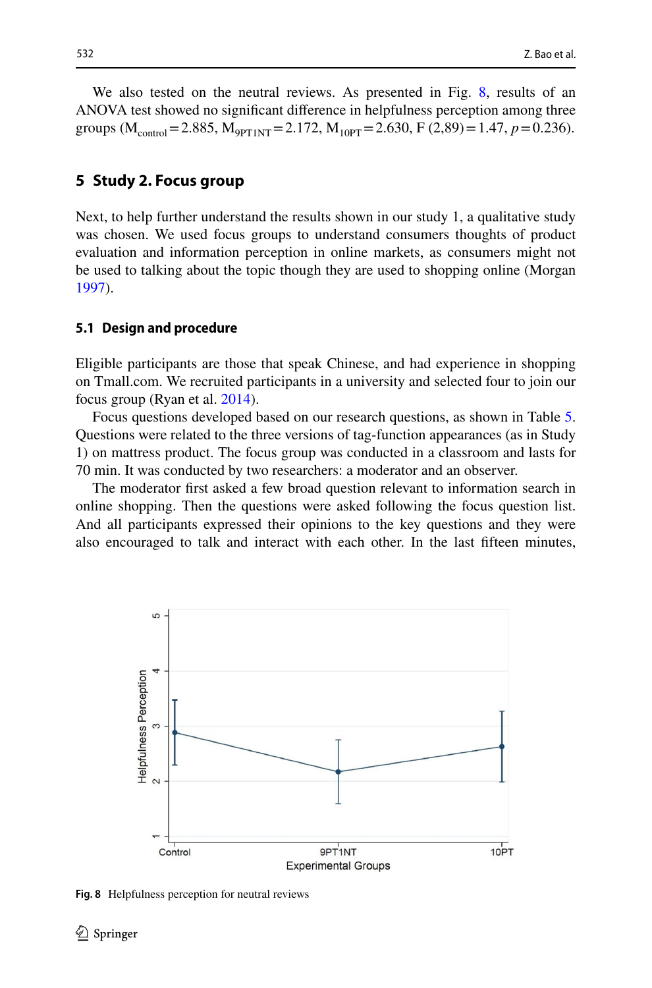We also tested on the neutral reviews. As presented in Fig. [8,](#page-15-0) results of an ANOVA test showed no signifcant diference in helpfulness perception among three groups  $(M_{\text{control}}=2.885, M_{\text{OPTINT}}=2.172, M_{10PT}=2.630, F (2,89)=1.47, p=0.236).$ 

### **5 Study 2. Focus group**

Next, to help further understand the results shown in our study 1, a qualitative study was chosen. We used focus groups to understand consumers thoughts of product evaluation and information perception in online markets, as consumers might not be used to talking about the topic though they are used to shopping online (Morgan [1997](#page-21-24)).

#### **5.1 Design and procedure**

Eligible participants are those that speak Chinese, and had experience in shopping on Tmall.com. We recruited participants in a university and selected four to join our focus group (Ryan et al. [2014](#page-21-25)).

Focus questions developed based on our research questions, as shown in Table [5.](#page-16-0) Questions were related to the three versions of tag-function appearances (as in Study 1) on mattress product. The focus group was conducted in a classroom and lasts for 70 min. It was conducted by two researchers: a moderator and an observer.

The moderator frst asked a few broad question relevant to information search in online shopping. Then the questions were asked following the focus question list. And all participants expressed their opinions to the key questions and they were also encouraged to talk and interact with each other. In the last ffteen minutes,



<span id="page-15-0"></span>**Fig. 8** Helpfulness perception for neutral reviews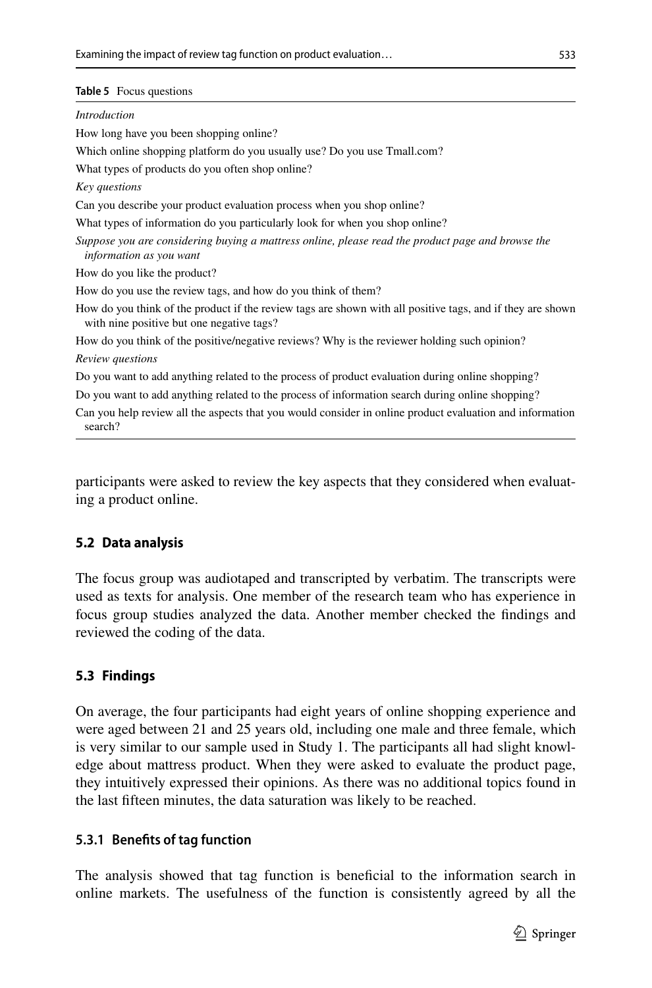<span id="page-16-0"></span>

|  |  | <b>Table 5</b> Focus questions |
|--|--|--------------------------------|
|--|--|--------------------------------|

| Introduction                                                                                                                                            |
|---------------------------------------------------------------------------------------------------------------------------------------------------------|
| How long have you been shopping online?                                                                                                                 |
| Which online shopping platform do you usually use? Do you use Tmall.com?                                                                                |
| What types of products do you often shop online?                                                                                                        |
| Key questions                                                                                                                                           |
| Can you describe your product evaluation process when you shop online?                                                                                  |
| What types of information do you particularly look for when you shop online?                                                                            |
| Suppose you are considering buying a mattress online, please read the product page and browse the<br>information as you want                            |
| How do you like the product?                                                                                                                            |
| How do you use the review tags, and how do you think of them?                                                                                           |
| How do you think of the product if the review tags are shown with all positive tags, and if they are shown<br>with nine positive but one negative tags? |
| How do you think of the positive/negative reviews? Why is the reviewer holding such opinion?                                                            |
| Review questions                                                                                                                                        |
| Do you want to add anything related to the process of product evaluation during online shopping?                                                        |
| Do you want to add anything related to the process of information search during online shopping?                                                        |
| Can you help review all the aspects that you would consider in online product evaluation and information<br>search?                                     |

participants were asked to review the key aspects that they considered when evaluating a product online.

# **5.2 Data analysis**

The focus group was audiotaped and transcripted by verbatim. The transcripts were used as texts for analysis. One member of the research team who has experience in focus group studies analyzed the data. Another member checked the fndings and reviewed the coding of the data.

# **5.3 Findings**

On average, the four participants had eight years of online shopping experience and were aged between 21 and 25 years old, including one male and three female, which is very similar to our sample used in Study 1. The participants all had slight knowledge about mattress product. When they were asked to evaluate the product page, they intuitively expressed their opinions. As there was no additional topics found in the last ffteen minutes, the data saturation was likely to be reached.

### **5.3.1 Benefts of tag function**

The analysis showed that tag function is benefcial to the information search in online markets. The usefulness of the function is consistently agreed by all the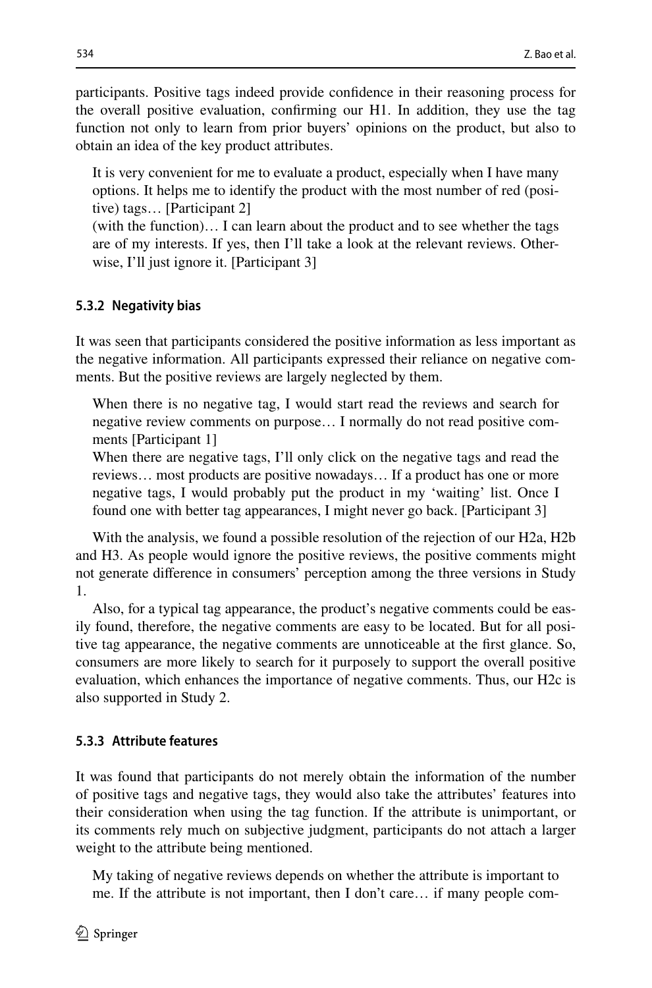participants. Positive tags indeed provide confdence in their reasoning process for the overall positive evaluation, confrming our H1. In addition, they use the tag function not only to learn from prior buyers' opinions on the product, but also to obtain an idea of the key product attributes.

It is very convenient for me to evaluate a product, especially when I have many options. It helps me to identify the product with the most number of red (positive) tags… [Participant 2]

(with the function)… I can learn about the product and to see whether the tags are of my interests. If yes, then I'll take a look at the relevant reviews. Otherwise, I'll just ignore it. [Participant 3]

### **5.3.2 Negativity bias**

It was seen that participants considered the positive information as less important as the negative information. All participants expressed their reliance on negative comments. But the positive reviews are largely neglected by them.

When there is no negative tag, I would start read the reviews and search for negative review comments on purpose… I normally do not read positive comments [Participant 1]

When there are negative tags, I'll only click on the negative tags and read the reviews… most products are positive nowadays… If a product has one or more negative tags, I would probably put the product in my 'waiting' list. Once I found one with better tag appearances, I might never go back. [Participant 3]

With the analysis, we found a possible resolution of the rejection of our H2a, H2b and H3. As people would ignore the positive reviews, the positive comments might not generate diference in consumers' perception among the three versions in Study 1.

Also, for a typical tag appearance, the product's negative comments could be easily found, therefore, the negative comments are easy to be located. But for all positive tag appearance, the negative comments are unnoticeable at the frst glance. So, consumers are more likely to search for it purposely to support the overall positive evaluation, which enhances the importance of negative comments. Thus, our H2c is also supported in Study 2.

#### **5.3.3 Attribute features**

It was found that participants do not merely obtain the information of the number of positive tags and negative tags, they would also take the attributes' features into their consideration when using the tag function. If the attribute is unimportant, or its comments rely much on subjective judgment, participants do not attach a larger weight to the attribute being mentioned.

My taking of negative reviews depends on whether the attribute is important to me. If the attribute is not important, then I don't care… if many people com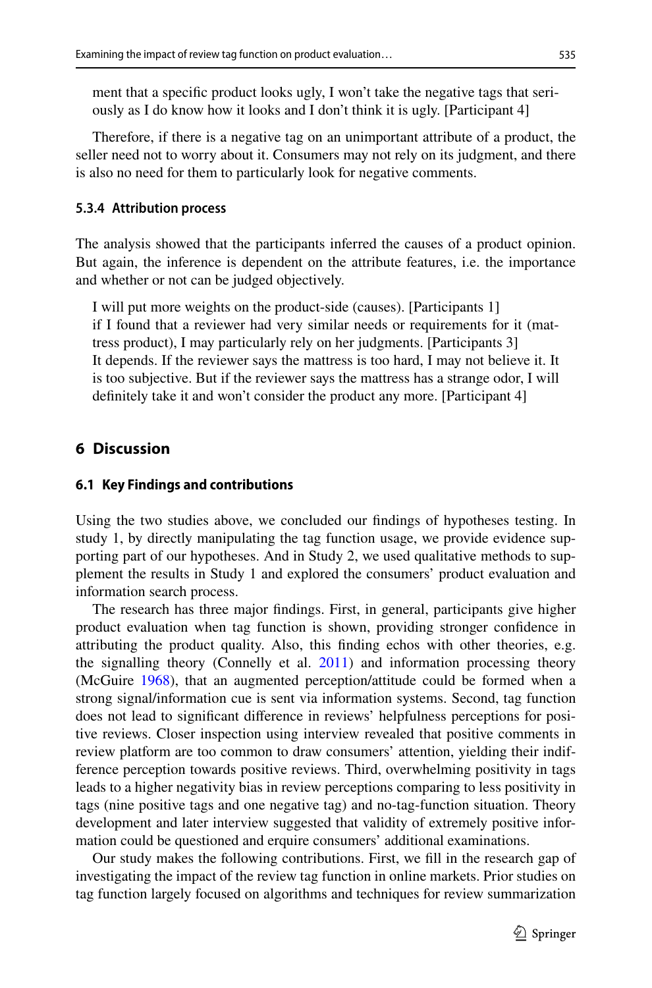ment that a specifc product looks ugly, I won't take the negative tags that seriously as I do know how it looks and I don't think it is ugly. [Participant 4]

Therefore, if there is a negative tag on an unimportant attribute of a product, the seller need not to worry about it. Consumers may not rely on its judgment, and there is also no need for them to particularly look for negative comments.

### **5.3.4 Attribution process**

The analysis showed that the participants inferred the causes of a product opinion. But again, the inference is dependent on the attribute features, i.e. the importance and whether or not can be judged objectively.

I will put more weights on the product-side (causes). [Participants 1] if I found that a reviewer had very similar needs or requirements for it (mattress product), I may particularly rely on her judgments. [Participants 3] It depends. If the reviewer says the mattress is too hard, I may not believe it. It is too subjective. But if the reviewer says the mattress has a strange odor, I will defnitely take it and won't consider the product any more. [Participant 4]

### **6 Discussion**

#### **6.1 Key Findings and contributions**

Using the two studies above, we concluded our fndings of hypotheses testing. In study 1, by directly manipulating the tag function usage, we provide evidence supporting part of our hypotheses. And in Study 2, we used qualitative methods to supplement the results in Study 1 and explored the consumers' product evaluation and information search process.

The research has three major fndings. First, in general, participants give higher product evaluation when tag function is shown, providing stronger confdence in attributing the product quality. Also, this fnding echos with other theories, e.g. the signalling theory (Connelly et al.  $2011$ ) and information processing theory (McGuire [1968\)](#page-21-26), that an augmented perception/attitude could be formed when a strong signal/information cue is sent via information systems. Second, tag function does not lead to signifcant diference in reviews' helpfulness perceptions for positive reviews. Closer inspection using interview revealed that positive comments in review platform are too common to draw consumers' attention, yielding their indifference perception towards positive reviews. Third, overwhelming positivity in tags leads to a higher negativity bias in review perceptions comparing to less positivity in tags (nine positive tags and one negative tag) and no-tag-function situation. Theory development and later interview suggested that validity of extremely positive information could be questioned and erquire consumers' additional examinations.

Our study makes the following contributions. First, we fll in the research gap of investigating the impact of the review tag function in online markets. Prior studies on tag function largely focused on algorithms and techniques for review summarization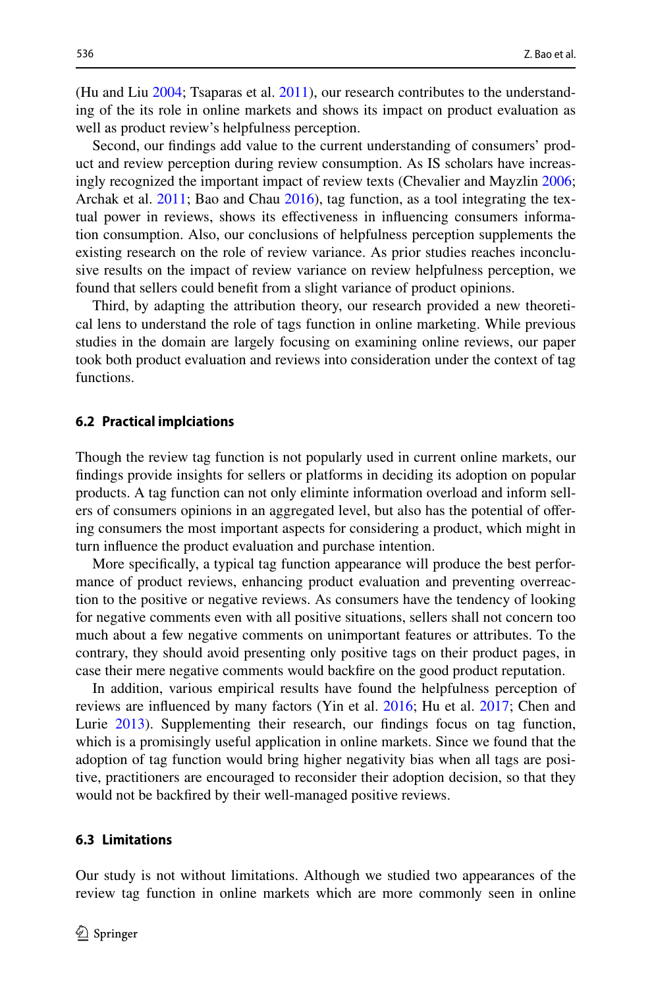(Hu and Liu [2004;](#page-21-5) Tsaparas et al. [2011](#page-22-5)), our research contributes to the understanding of the its role in online markets and shows its impact on product evaluation as well as product review's helpfulness perception.

Second, our fndings add value to the current understanding of consumers' product and review perception during review consumption. As IS scholars have increasingly recognized the important impact of review texts (Chevalier and Mayzlin [2006;](#page-20-7) Archak et al. [2011;](#page-20-2) Bao and Chau [2016\)](#page-20-8), tag function, as a tool integrating the textual power in reviews, shows its efectiveness in infuencing consumers information consumption. Also, our conclusions of helpfulness perception supplements the existing research on the role of review variance. As prior studies reaches inconclusive results on the impact of review variance on review helpfulness perception, we found that sellers could beneft from a slight variance of product opinions.

Third, by adapting the attribution theory, our research provided a new theoretical lens to understand the role of tags function in online marketing. While previous studies in the domain are largely focusing on examining online reviews, our paper took both product evaluation and reviews into consideration under the context of tag functions.

#### **6.2 Practical implciations**

Though the review tag function is not popularly used in current online markets, our fndings provide insights for sellers or platforms in deciding its adoption on popular products. A tag function can not only eliminte information overload and inform sellers of consumers opinions in an aggregated level, but also has the potential of ofering consumers the most important aspects for considering a product, which might in turn infuence the product evaluation and purchase intention.

More specifcally, a typical tag function appearance will produce the best performance of product reviews, enhancing product evaluation and preventing overreaction to the positive or negative reviews. As consumers have the tendency of looking for negative comments even with all positive situations, sellers shall not concern too much about a few negative comments on unimportant features or attributes. To the contrary, they should avoid presenting only positive tags on their product pages, in case their mere negative comments would backfre on the good product reputation.

In addition, various empirical results have found the helpfulness perception of reviews are infuenced by many factors (Yin et al. [2016;](#page-22-0) Hu et al. [2017](#page-21-6); Chen and Lurie [2013\)](#page-20-4). Supplementing their research, our fndings focus on tag function, which is a promisingly useful application in online markets. Since we found that the adoption of tag function would bring higher negativity bias when all tags are positive, practitioners are encouraged to reconsider their adoption decision, so that they would not be backfred by their well-managed positive reviews.

#### **6.3 Limitations**

Our study is not without limitations. Although we studied two appearances of the review tag function in online markets which are more commonly seen in online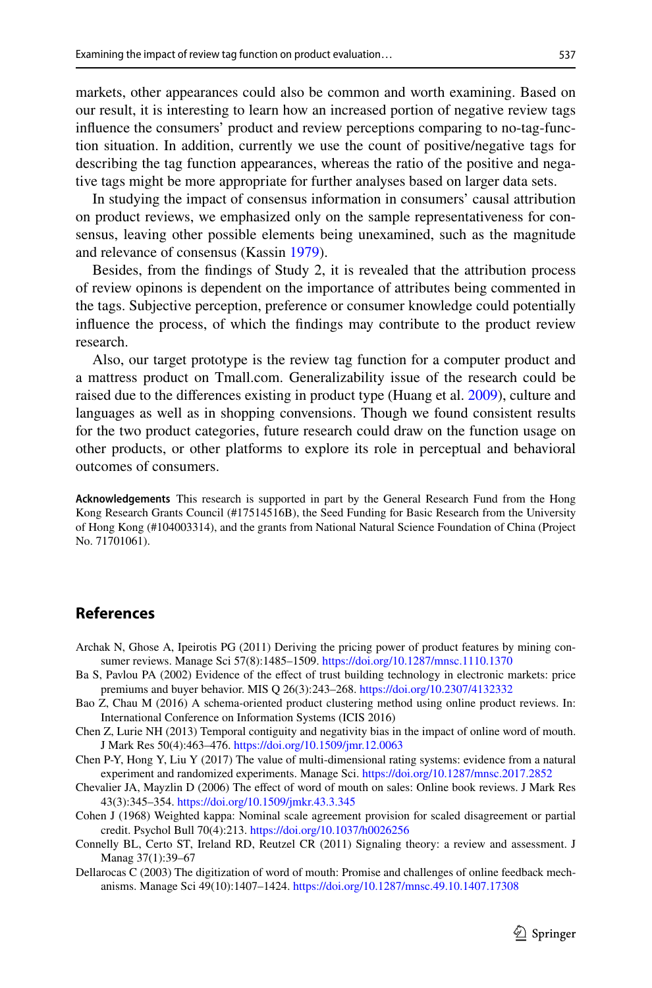markets, other appearances could also be common and worth examining. Based on our result, it is interesting to learn how an increased portion of negative review tags infuence the consumers' product and review perceptions comparing to no-tag-function situation. In addition, currently we use the count of positive/negative tags for describing the tag function appearances, whereas the ratio of the positive and negative tags might be more appropriate for further analyses based on larger data sets.

In studying the impact of consensus information in consumers' causal attribution on product reviews, we emphasized only on the sample representativeness for consensus, leaving other possible elements being unexamined, such as the magnitude and relevance of consensus (Kassin [1979](#page-21-14)).

Besides, from the fndings of Study 2, it is revealed that the attribution process of review opinons is dependent on the importance of attributes being commented in the tags. Subjective perception, preference or consumer knowledge could potentially infuence the process, of which the fndings may contribute to the product review research.

Also, our target prototype is the review tag function for a computer product and a mattress product on Tmall.com. Generalizability issue of the research could be raised due to the differences existing in product type (Huang et al. [2009\)](#page-21-27), culture and languages as well as in shopping convensions. Though we found consistent results for the two product categories, future research could draw on the function usage on other products, or other platforms to explore its role in perceptual and behavioral outcomes of consumers.

**Acknowledgements** This research is supported in part by the General Research Fund from the Hong Kong Research Grants Council (#17514516B), the Seed Funding for Basic Research from the University of Hong Kong (#104003314), and the grants from National Natural Science Foundation of China (Project No. 71701061).

### **References**

- <span id="page-20-2"></span>Archak N, Ghose A, Ipeirotis PG (2011) Deriving the pricing power of product features by mining consumer reviews. Manage Sci 57(8):1485–1509.<https://doi.org/10.1287/mnsc.1110.1370>
- <span id="page-20-1"></span>Ba S, Pavlou PA (2002) Evidence of the efect of trust building technology in electronic markets: price premiums and buyer behavior. MIS Q 26(3):243–268. <https://doi.org/10.2307/4132332>
- <span id="page-20-8"></span>Bao Z, Chau M (2016) A schema-oriented product clustering method using online product reviews. In: International Conference on Information Systems (ICIS 2016)
- <span id="page-20-4"></span>Chen Z, Lurie NH (2013) Temporal contiguity and negativity bias in the impact of online word of mouth. J Mark Res 50(4):463–476. <https://doi.org/10.1509/jmr.12.0063>
- <span id="page-20-3"></span>Chen P-Y, Hong Y, Liu Y (2017) The value of multi-dimensional rating systems: evidence from a natural experiment and randomized experiments. Manage Sci.<https://doi.org/10.1287/mnsc.2017.2852>
- <span id="page-20-7"></span>Chevalier JA, Mayzlin D (2006) The efect of word of mouth on sales: Online book reviews. J Mark Res 43(3):345–354. <https://doi.org/10.1509/jmkr.43.3.345>
- <span id="page-20-5"></span>Cohen J (1968) Weighted kappa: Nominal scale agreement provision for scaled disagreement or partial credit. Psychol Bull 70(4):213. <https://doi.org/10.1037/h0026256>
- <span id="page-20-6"></span>Connelly BL, Certo ST, Ireland RD, Reutzel CR (2011) Signaling theory: a review and assessment. J Manag 37(1):39–67
- <span id="page-20-0"></span>Dellarocas C (2003) The digitization of word of mouth: Promise and challenges of online feedback mechanisms. Manage Sci 49(10):1407–1424. <https://doi.org/10.1287/mnsc.49.10.1407.17308>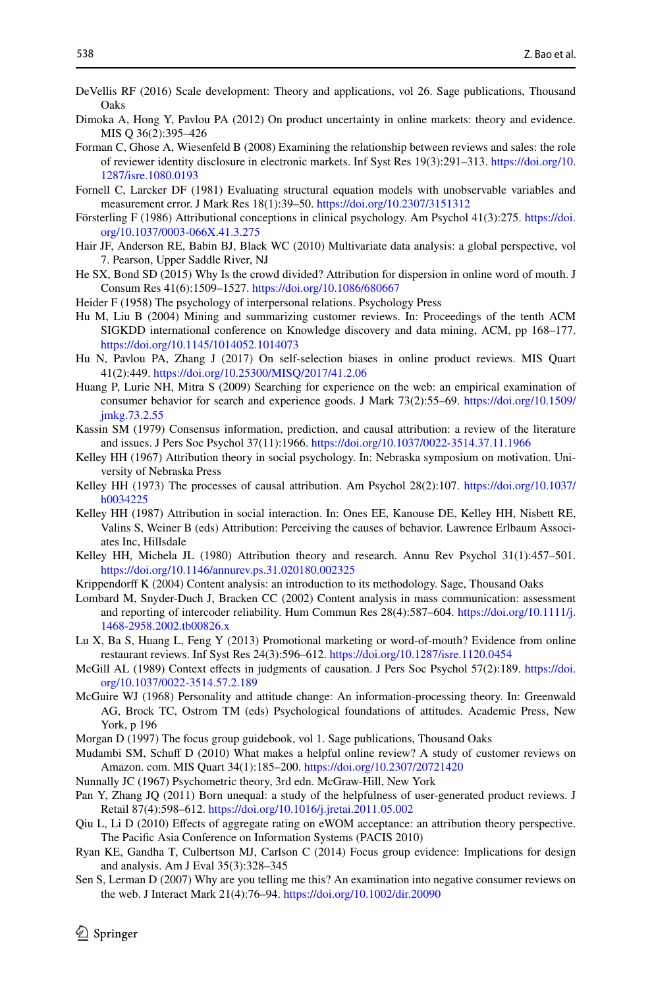- <span id="page-21-20"></span>DeVellis RF (2016) Scale development: Theory and applications, vol 26. Sage publications, Thousand Oaks
- <span id="page-21-1"></span>Dimoka A, Hong Y, Pavlou PA (2012) On product uncertainty in online markets: theory and evidence. MIS Q 36(2):395–426
- <span id="page-21-3"></span>Forman C, Ghose A, Wiesenfeld B (2008) Examining the relationship between reviews and sales: the role of reviewer identity disclosure in electronic markets. Inf Syst Res 19(3):291–313. [https://doi.org/10.](https://doi.org/10.1287/isre.1080.0193) [1287/isre.1080.0193](https://doi.org/10.1287/isre.1080.0193)
- <span id="page-21-23"></span>Fornell C, Larcker DF (1981) Evaluating structural equation models with unobservable variables and measurement error. J Mark Res 18(1):39–50. <https://doi.org/10.2307/3151312>
- <span id="page-21-8"></span>Försterling F (1986) Attributional conceptions in clinical psychology. Am Psychol 41(3):275. [https://doi.](https://doi.org/10.1037/0003-066X.41.3.275) [org/10.1037/0003-066X.41.3.275](https://doi.org/10.1037/0003-066X.41.3.275)
- <span id="page-21-22"></span>Hair JF, Anderson RE, Babin BJ, Black WC (2010) Multivariate data analysis: a global perspective, vol 7. Pearson, Upper Saddle River, NJ
- <span id="page-21-15"></span>He SX, Bond SD (2015) Why Is the crowd divided? Attribution for dispersion in online word of mouth. J Consum Res 41(6):1509–1527.<https://doi.org/10.1086/680667>
- <span id="page-21-7"></span>Heider F (1958) The psychology of interpersonal relations. Psychology Press
- <span id="page-21-5"></span>Hu M, Liu B (2004) Mining and summarizing customer reviews. In: Proceedings of the tenth ACM SIGKDD international conference on Knowledge discovery and data mining, ACM, pp 168–177. <https://doi.org/10.1145/1014052.1014073>
- <span id="page-21-6"></span>Hu N, Pavlou PA, Zhang J (2017) On self-selection biases in online product reviews. MIS Quart 41(2):449. <https://doi.org/10.25300/MISQ/2017/41.2.06>
- <span id="page-21-27"></span>Huang P, Lurie NH, Mitra S (2009) Searching for experience on the web: an empirical examination of consumer behavior for search and experience goods. J Mark 73(2):55–69. [https://doi.org/10.1509/](https://doi.org/10.1509/jmkg.73.2.55) [jmkg.73.2.55](https://doi.org/10.1509/jmkg.73.2.55)
- <span id="page-21-14"></span>Kassin SM (1979) Consensus information, prediction, and causal attribution: a review of the literature and issues. J Pers Soc Psychol 37(11):1966. <https://doi.org/10.1037/0022-3514.37.11.1966>
- <span id="page-21-11"></span>Kelley HH (1967) Attribution theory in social psychology. In: Nebraska symposium on motivation. University of Nebraska Press
- <span id="page-21-12"></span>Kelley HH (1973) The processes of causal attribution. Am Psychol 28(2):107. [https://doi.org/10.1037/](https://doi.org/10.1037/h0034225) [h0034225](https://doi.org/10.1037/h0034225)
- <span id="page-21-10"></span>Kelley HH (1987) Attribution in social interaction. In: Ones EE, Kanouse DE, Kelley HH, Nisbett RE, Valins S, Weiner B (eds) Attribution: Perceiving the causes of behavior. Lawrence Erlbaum Associates Inc, Hillsdale
- <span id="page-21-9"></span>Kelley HH, Michela JL (1980) Attribution theory and research. Annu Rev Psychol 31(1):457–501. <https://doi.org/10.1146/annurev.ps.31.020180.002325>
- <span id="page-21-18"></span>Krippendorff K (2004) Content analysis: an introduction to its methodology. Sage, Thousand Oaks
- <span id="page-21-17"></span>Lombard M, Snyder-Duch J, Bracken CC (2002) Content analysis in mass communication: assessment and reporting of intercoder reliability. Hum Commun Res 28(4):587–604. [https://doi.org/10.1111/j.](https://doi.org/10.1111/j.1468-2958.2002.tb00826.x) [1468-2958.2002.tb00826.x](https://doi.org/10.1111/j.1468-2958.2002.tb00826.x)
- <span id="page-21-2"></span>Lu X, Ba S, Huang L, Feng Y (2013) Promotional marketing or word-of-mouth? Evidence from online restaurant reviews. Inf Syst Res 24(3):596–612.<https://doi.org/10.1287/isre.1120.0454>
- <span id="page-21-13"></span>McGill AL (1989) Context efects in judgments of causation. J Pers Soc Psychol 57(2):189. [https://doi.](https://doi.org/10.1037/0022-3514.57.2.189) [org/10.1037/0022-3514.57.2.189](https://doi.org/10.1037/0022-3514.57.2.189)
- <span id="page-21-26"></span>McGuire WJ (1968) Personality and attitude change: An information-processing theory. In: Greenwald AG, Brock TC, Ostrom TM (eds) Psychological foundations of attitudes. Academic Press, New York, p 196
- <span id="page-21-24"></span>Morgan D (1997) The focus group guidebook, vol 1. Sage publications, Thousand Oaks
- <span id="page-21-0"></span>Mudambi SM, Schuff D (2010) What makes a helpful online review? A study of customer reviews on Amazon. com. MIS Quart 34(1):185–200.<https://doi.org/10.2307/20721420>
- <span id="page-21-21"></span>Nunnally JC (1967) Psychometric theory, 3rd edn. McGraw-Hill, New York
- <span id="page-21-4"></span>Pan Y, Zhang JQ (2011) Born unequal: a study of the helpfulness of user-generated product reviews. J Retail 87(4):598–612. <https://doi.org/10.1016/j.jretai.2011.05.002>
- <span id="page-21-16"></span>Qiu L, Li D (2010) Efects of aggregate rating on eWOM acceptance: an attribution theory perspective. The Pacifc Asia Conference on Information Systems (PACIS 2010)
- <span id="page-21-25"></span>Ryan KE, Gandha T, Culbertson MJ, Carlson C (2014) Focus group evidence: Implications for design and analysis. Am J Eval 35(3):328–345
- <span id="page-21-19"></span>Sen S, Lerman D (2007) Why are you telling me this? An examination into negative consumer reviews on the web. J Interact Mark 21(4):76–94.<https://doi.org/10.1002/dir.20090>